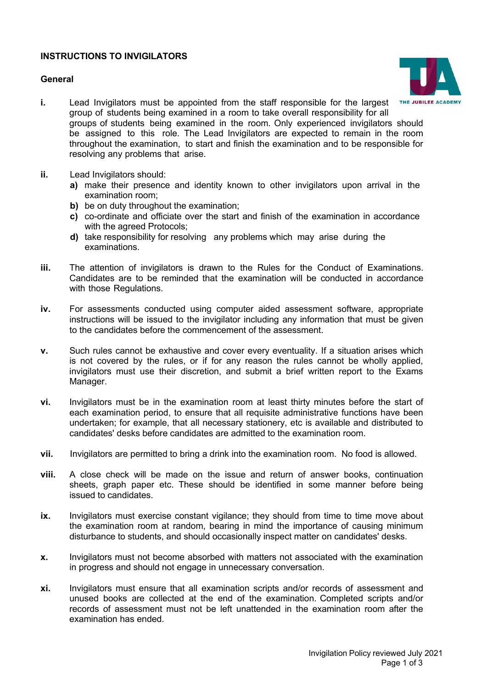## **INSTRUCTIONS TO INVIGILATORS**

### **General**



- **i.** Lead Invigilators must be appointed from the staff responsible for the largest group of students being examined in a room to take overall responsibility for all groups of students being examined in the room. Only experienced invigilators should be assigned to this role. The Lead Invigilators are expected to remain in the room throughout the examination, to start and finish the examination and to be responsible for resolving any problems that arise.
- **ii.** Lead Invigilators should:
	- **a)** make their presence and identity known to other invigilators upon arrival in the examination room;
	- **b)** be on duty throughout the examination;
	- **c)** co-ordinate and officiate over the start and finish of the examination in accordance with the agreed Protocols;
	- **d)** take responsibility for resolving any problems which may arise during the examinations.
- **iii.** The attention of invigilators is drawn to the Rules for the Conduct of Examinations. Candidates are to be reminded that the examination will be conducted in accordance with those Regulations.
- **iv.** For assessments conducted using computer aided assessment software, appropriate instructions will be issued to the invigilator including any information that must be given to the candidates before the commencement of the assessment.
- **v.** Such rules cannot be exhaustive and cover every eventuality. If a situation arises which is not covered by the rules, or if for any reason the rules cannot be wholly applied, invigilators must use their discretion, and submit a brief written report to the Exams Manager.
- **vi.** Invigilators must be in the examination room at least thirty minutes before the start of each examination period, to ensure that all requisite administrative functions have been undertaken; for example, that all necessary stationery, etc is available and distributed to candidates' desks before candidates are admitted to the examination room.
- **vii.** Invigilators are permitted to bring a drink into the examination room. No food is allowed.
- **viii.** A close check will be made on the issue and return of answer books, continuation sheets, graph paper etc. These should be identified in some manner before being issued to candidates.
- **ix.** Invigilators must exercise constant vigilance; they should from time to time move about the examination room at random, bearing in mind the importance of causing minimum disturbance to students, and should occasionally inspect matter on candidates' desks.
- **x.** Invigilators must not become absorbed with matters not associated with the examination in progress and should not engage in unnecessary conversation.
- **xi.** Invigilators must ensure that all examination scripts and/or records of assessment and unused books are collected at the end of the examination. Completed scripts and/or records of assessment must not be left unattended in the examination room after the examination has ended.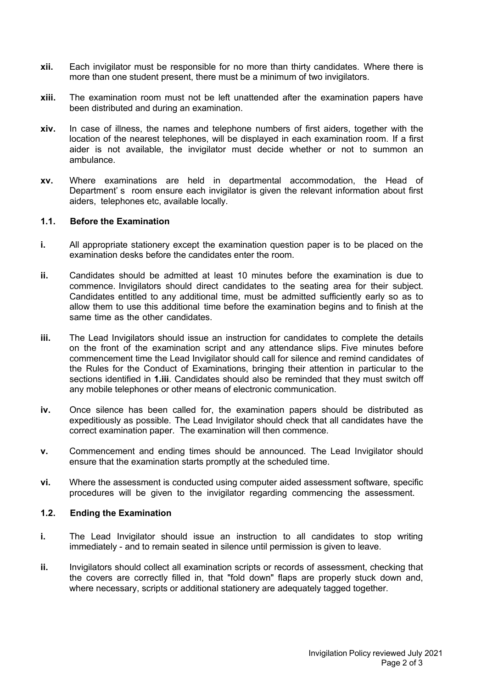- **xii.** Each invigilator must be responsible for no more than thirty candidates. Where there is more than one student present, there must be a minimum of two invigilators.
- **xiii.** The examination room must not be left unattended after the examination papers have been distributed and during an examination.
- **xiv.** In case of illness, the names and telephone numbers of first aiders, together with the location of the nearest telephones, will be displayed in each examination room. If a first aider is not available, the invigilator must decide whether or not to summon an ambulance.
- **xv.** Where examinations are held in departmental accommodation, the Head of Department's room ensure each invigilator is given the relevant information about first aiders, telephones etc, available locally.

## **1.1. Before the Examination**

- **i.** All appropriate stationery except the examination question paper is to be placed on the examination desks before the candidates enter the room.
- **ii.** Candidates should be admitted at least 10 minutes before the examination is due to commence. Invigilators should direct candidates to the seating area for their subject. Candidates entitled to any additional time, must be admitted sufficiently early so as to allow them to use this additional time before the examination begins and to finish at the same time as the other candidates.
- **iii.** The Lead Invigilators should issue an instruction for candidates to complete the details on the front of the examination script and any attendance slips. Five minutes before commencement time the Lead Invigilator should call for silence and remind candidates of the Rules for the Conduct of Examinations, bringing their attention in particular to the sections identified in **1.iii**. Candidates should also be reminded that they must switch off any mobile telephones or other means of electronic communication.
- **iv.** Once silence has been called for, the examination papers should be distributed as expeditiously as possible. The Lead Invigilator should check that all candidates have the correct examination paper. The examination will then commence.
- **v.** Commencement and ending times should be announced. The Lead Invigilator should ensure that the examination starts promptly at the scheduled time.
- **vi.** Where the assessment is conducted using computer aided assessment software, specific procedures will be given to the invigilator regarding commencing the assessment.

### **1.2. Ending the Examination**

- **i.** The Lead Invigilator should issue an instruction to all candidates to stop writing immediately - and to remain seated in silence until permission is given to leave.
- **ii.** Invigilators should collect all examination scripts or records of assessment, checking that the covers are correctly filled in, that "fold down" flaps are properly stuck down and, where necessary, scripts or additional stationery are adequately tagged together.